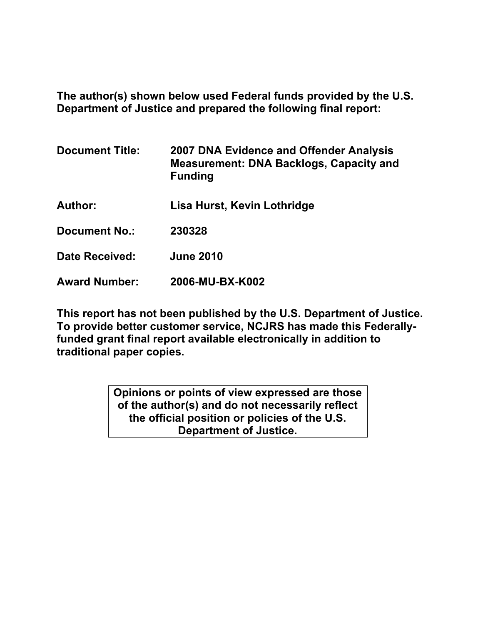**The author(s) shown below used Federal funds provided by the U.S. Department of Justice and prepared the following final report:** 

| <b>Document Title:</b> | 2007 DNA Evidence and Offender Analysis<br><b>Measurement: DNA Backlogs, Capacity and</b><br><b>Funding</b> |  |
|------------------------|-------------------------------------------------------------------------------------------------------------|--|
| <b>Author:</b>         | Lisa Hurst, Kevin Lothridge                                                                                 |  |
| <b>Document No.:</b>   | 230328                                                                                                      |  |
| Date Received:         | <b>June 2010</b>                                                                                            |  |
| <b>Award Number:</b>   | 2006-MU-BX-K002                                                                                             |  |

**This report has not been published by the U.S. Department of Justice. To provide better customer service, NCJRS has made this Federallyfunded grant final report available electronically in addition to traditional paper copies.** 

> **Opinions or points of view expressed are those of the author(s) and do not necessarily reflect the official position or policies of the U.S. Department of Justice.**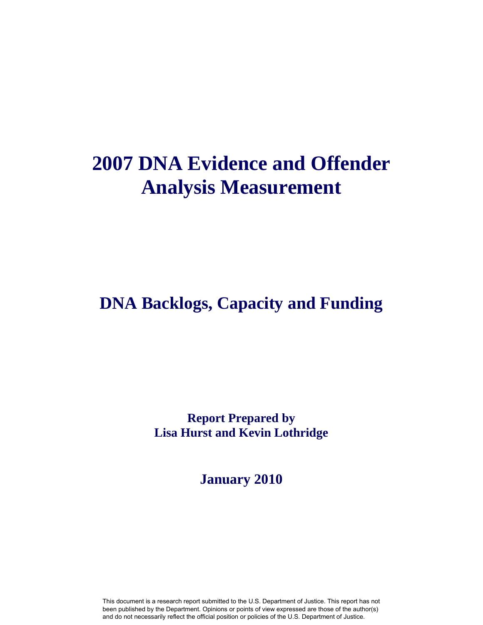# **2007 DNA Evidence and Offender Analysis Measurement**

# **DNA Backlogs, Capacity and Funding**

**Report Prepared by Lisa Hurst and Kevin Lothridge**

**January 2010**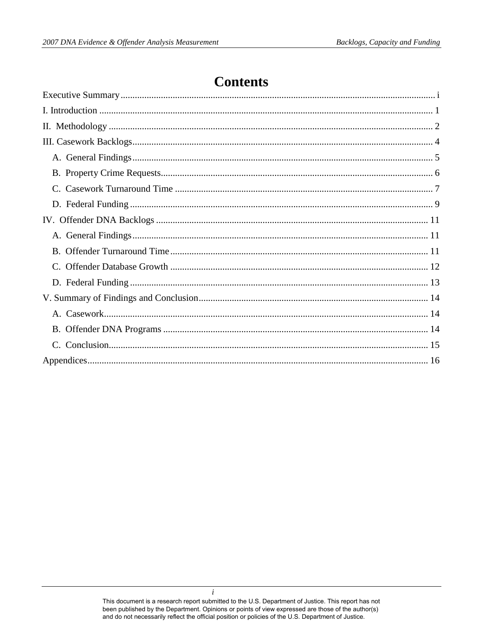# **Contents**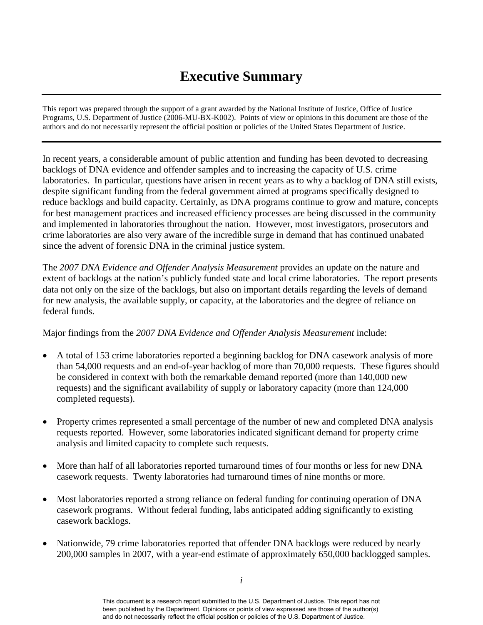# **Executive Summary**

<span id="page-3-0"></span> Programs, U.S. Department of Justice (2006-MU-BX-K002). Points of view or opinions in this document are those of the This report was prepared through the support of a grant awarded by the National Institute of Justice, Office of Justice authors and do not necessarily represent the official position or policies of the United States Department of Justice.

 backlogs of DNA evidence and offender samples and to increasing the capacity of U.S. crime laboratories. In particular, questions have arisen in recent years as to why a backlog of DNA still exists, since the advent of forensic DNA in the criminal justice system. In recent years, a considerable amount of public attention and funding has been devoted to decreasing despite significant funding from the federal government aimed at programs specifically designed to reduce backlogs and build capacity. Certainly, as DNA programs continue to grow and mature, concepts for best management practices and increased efficiency processes are being discussed in the community and implemented in laboratories throughout the nation. However, most investigators, prosecutors and crime laboratories are also very aware of the incredible surge in demand that has continued unabated

 extent of backlogs at the nation's publicly funded state and local crime laboratories. The report presents The 2007 DNA Evidence and Offender Analysis Measurement provides an update on the nature and data not only on the size of the backlogs, but also on important details regarding the levels of demand for new analysis, the available supply, or capacity, at the laboratories and the degree of reliance on federal funds.

Major findings from the *2007 DNA Evidence and Offender Analysis Measurement* include:

- completed requests). A total of 153 crime laboratories reported a beginning backlog for DNA casework analysis of more than 54,000 requests and an end-of-year backlog of more than 70,000 requests. These figures should be considered in context with both the remarkable demand reported (more than 140,000 new requests) and the significant availability of supply or laboratory capacity (more than 124,000
- requests reported. However, some laboratories indicated significant demand for property crime Property crimes represented a small percentage of the number of new and completed DNA analysis analysis and limited capacity to complete such requests.
- casework requests. Twenty laboratories had turnaround times of nine months or more. • More than half of all laboratories reported turnaround times of four months or less for new DNA
- casework programs. Without federal funding, labs anticipated adding significantly to existing • Most laboratories reported a strong reliance on federal funding for continuing operation of DNA casework backlogs.
- Nationwide, 79 crime laboratories reported that offender DNA backlogs were reduced by nearly 200,000 samples in 2007, with a year-end estimate of approximately 650,000 backlogged samples.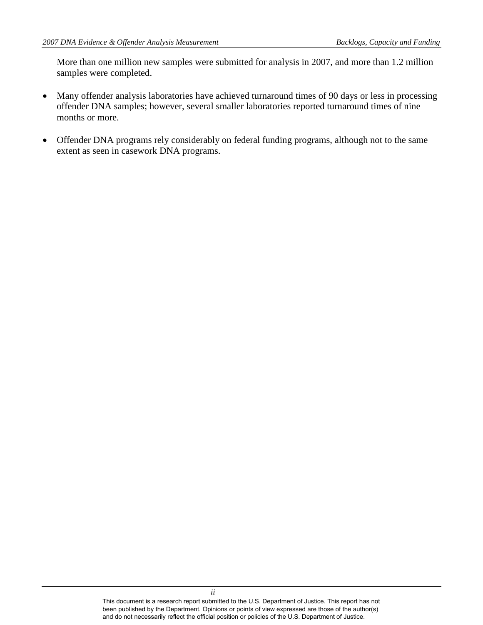More than one million new samples were submitted for analysis in 2007, and more than 1.2 million samples were completed.

- months or more. • Many offender analysis laboratories have achieved turnaround times of 90 days or less in processing offender DNA samples; however, several smaller laboratories reported turnaround times of nine
- Offender DNA programs rely considerably on federal funding programs, although not to the same extent as seen in casework DNA programs.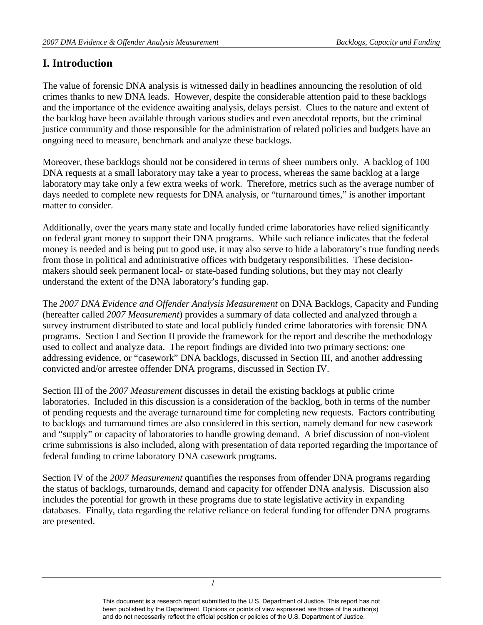## <span id="page-5-0"></span>**I. Introduction**

The value of forensic DNA analysis is witnessed daily in headlines announcing the resolution of old crimes thanks to new DNA leads. However, despite the considerable attention paid to these backlogs and the importance of the evidence awaiting analysis, delays persist. Clues to the nature and extent of the backlog have been available through various studies and even anecdotal reports, but the criminal justice community and those responsible for the administration of related policies and budgets have an ongoing need to measure, benchmark and analyze these backlogs.

Moreover, these backlogs should not be considered in terms of sheer numbers only. A backlog of 100 DNA requests at a small laboratory may take a year to process, whereas the same backlog at a large laboratory may take only a few extra weeks of work. Therefore, metrics such as the average number of days needed to complete new requests for DNA analysis, or "turnaround times," is another important matter to consider.

 understand the extent of the DNA laboratory's funding gap. Additionally, over the years many state and locally funded crime laboratories have relied significantly on federal grant money to support their DNA programs. While such reliance indicates that the federal money is needed and is being put to good use, it may also serve to hide a laboratory's true funding needs from those in political and administrative offices with budgetary responsibilities. These decisionmakers should seek permanent local- or state-based funding solutions, but they may not clearly

 survey instrument distributed to state and local publicly funded crime laboratories with forensic DNA used to collect and analyze data. The report findings are divided into two primary sections: one The *2007 DNA Evidence and Offender Analysis Measurement* on DNA Backlogs, Capacity and Funding (hereafter called *2007 Measurement*) provides a summary of data collected and analyzed through a programs. Section I and Section II provide the framework for the report and describe the methodology addressing evidence, or "casework" DNA backlogs, discussed in Section III, and another addressing convicted and/or arrestee offender DNA programs, discussed in Section IV.

 laboratories. Included in this discussion is a consideration of the backlog, both in terms of the number and "supply" or capacity of laboratories to handle growing demand. A brief discussion of non-violent Section III of the *2007 Measurement* discusses in detail the existing backlogs at public crime of pending requests and the average turnaround time for completing new requests. Factors contributing to backlogs and turnaround times are also considered in this section, namely demand for new casework crime submissions is also included, along with presentation of data reported regarding the importance of federal funding to crime laboratory DNA casework programs.

 databases. Finally, data regarding the relative reliance on federal funding for offender DNA programs Section IV of the *2007 Measurement* quantifies the responses from offender DNA programs regarding the status of backlogs, turnarounds, demand and capacity for offender DNA analysis. Discussion also includes the potential for growth in these programs due to state legislative activity in expanding are presented.

*1*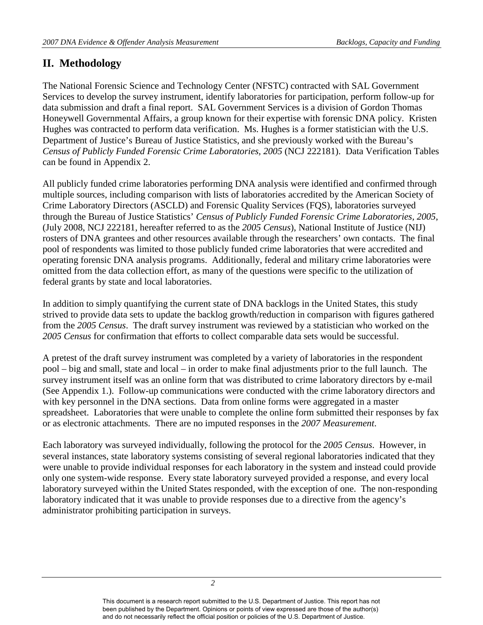## <span id="page-6-0"></span>**II. Methodology**

 *Census of Publicly Funded Forensic Crime Laboratories, 2005* (NCJ 222181). Data Verification Tables The National Forensic Science and Technology Center (NFSTC) contracted with SAL Government Services to develop the survey instrument, identify laboratories for participation, perform follow-up for data submission and draft a final report. SAL Government Services is a division of Gordon Thomas Honeywell Governmental Affairs, a group known for their expertise with forensic DNA policy. Kristen Hughes was contracted to perform data verification. Ms. Hughes is a former statistician with the U.S. Department of Justice's Bureau of Justice Statistics, and she previously worked with the Bureau's can be found in Appendix 2.

 rosters of DNA grantees and other resources available through the researchers' own contacts. The final pool of respondents was limited to those publicly funded crime laboratories that were accredited and operating forensic DNA analysis programs. Additionally, federal and military crime laboratories were federal grants by state and local laboratories. All publicly funded crime laboratories performing DNA analysis were identified and confirmed through multiple sources, including comparison with lists of laboratories accredited by the American Society of Crime Laboratory Directors (ASCLD) and Forensic Quality Services (FQS), laboratories surveyed through the Bureau of Justice Statistics' *Census of Publicly Funded Forensic Crime Laboratories, 2005*, (July 2008, NCJ 222181, hereafter referred to as the *2005 Census*), National Institute of Justice (NIJ) omitted from the data collection effort, as many of the questions were specific to the utilization of

In addition to simply quantifying the current state of DNA backlogs in the United States, this study strived to provide data sets to update the backlog growth/reduction in comparison with figures gathered from the *2005 Census*. The draft survey instrument was reviewed by a statistician who worked on the *2005 Census* for confirmation that efforts to collect comparable data sets would be successful.

 survey instrument itself was an online form that was distributed to crime laboratory directors by e-mail with key personnel in the DNA sections. Data from online forms were aggregated in a master spreadsheet. Laboratories that were unable to complete the online form submitted their responses by fax A pretest of the draft survey instrument was completed by a variety of laboratories in the respondent pool – big and small, state and local – in order to make final adjustments prior to the full launch. The (See Appendix 1.). Follow-up communications were conducted with the crime laboratory directors and or as electronic attachments. There are no imputed responses in the *2007 Measurement*.

 Each laboratory was surveyed individually, following the protocol for the *2005 Census*. However, in several instances, state laboratory systems consisting of several regional laboratories indicated that they were unable to provide individual responses for each laboratory in the system and instead could provide only one system-wide response. Every state laboratory surveyed provided a response, and every local laboratory surveyed within the United States responded, with the exception of one. The non-responding laboratory indicated that it was unable to provide responses due to a directive from the agency's administrator prohibiting participation in surveys.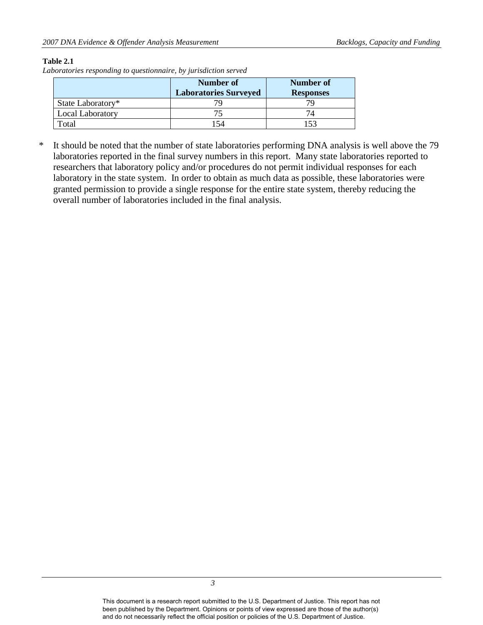#### **Table 2.1**

*Laboratories responding to questionnaire, by jurisdiction served* 

|                         | Number of                    | Number of        |
|-------------------------|------------------------------|------------------|
|                         | <b>Laboratories Surveyed</b> | <b>Responses</b> |
| State Laboratory*       |                              |                  |
| <b>Local Laboratory</b> |                              |                  |
| Total                   | 154                          |                  |

 granted permission to provide a single response for the entire state system, thereby reducing the \* It should be noted that the number of state laboratories performing DNA analysis is well above the 79 laboratories reported in the final survey numbers in this report. Many state laboratories reported to researchers that laboratory policy and/or procedures do not permit individual responses for each laboratory in the state system. In order to obtain as much data as possible, these laboratories were overall number of laboratories included in the final analysis.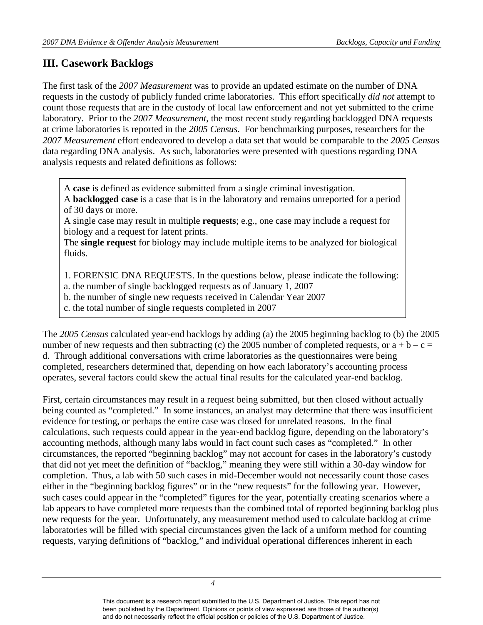## <span id="page-8-0"></span>**III. Casework Backlogs**

 The first task of the *2007 Measurement* was to provide an updated estimate on the number of DNA requests in the custody of publicly funded crime laboratories. This effort specifically *did not* attempt to at crime laboratories is reported in the *2005 Census*. For benchmarking purposes, researchers for the *2007 Measurement* effort endeavored to develop a data set that would be comparable to the *2005 Census*  data regarding DNA analysis. As such, laboratories were presented with questions regarding DNA count those requests that are in the custody of local law enforcement and not yet submitted to the crime laboratory. Prior to the *2007 Measurement*, the most recent study regarding backlogged DNA requests analysis requests and related definitions as follows:

A **case** is defined as evidence submitted from a single criminal investigation.

A **backlogged case** is a case that is in the laboratory and remains unreported for a period of 30 days or more.

 A single case may result in multiple **requests**; e.g., one case may include a request for biology and a request for latent prints.

The **single request** for biology may include multiple items to be analyzed for biological fluids.

1. FORENSIC DNA REQUESTS. In the questions below, please indicate the following:

a. the number of single backlogged requests as of January 1, 2007

b. the number of single new requests received in Calendar Year 2007

c. the total number of single requests completed in 2007

number of new requests and then subtracting (c) the 2005 number of completed requests, or  $a + b - c =$ The *2005 Census* calculated year-end backlogs by adding (a) the 2005 beginning backlog to (b) the 2005 d. Through additional conversations with crime laboratories as the questionnaires were being completed, researchers determined that, depending on how each laboratory's accounting process operates, several factors could skew the actual final results for the calculated year-end backlog.

 accounting methods, although many labs would in fact count such cases as "completed." In other that did not yet meet the definition of "backlog," meaning they were still within a 30-day window for lab appears to have completed more requests than the combined total of reported beginning backlog plus First, certain circumstances may result in a request being submitted, but then closed without actually being counted as "completed." In some instances, an analyst may determine that there was insufficient evidence for testing, or perhaps the entire case was closed for unrelated reasons. In the final calculations, such requests could appear in the year-end backlog figure, depending on the laboratory's circumstances, the reported "beginning backlog" may not account for cases in the laboratory's custody completion. Thus, a lab with 50 such cases in mid-December would not necessarily count those cases either in the "beginning backlog figures" or in the "new requests" for the following year. However, such cases could appear in the "completed" figures for the year, potentially creating scenarios where a new requests for the year. Unfortunately, any measurement method used to calculate backlog at crime laboratories will be filled with special circumstances given the lack of a uniform method for counting requests, varying definitions of "backlog," and individual operational differences inherent in each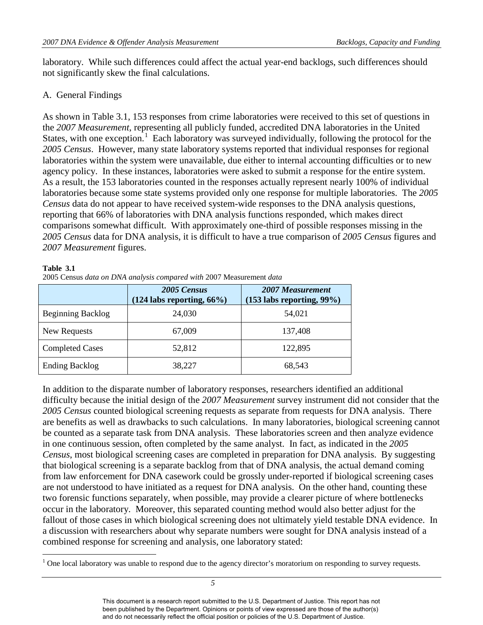not significantly skew the final calculations. laboratory. While such differences could affect the actual year-end backlogs, such differences should

## <span id="page-9-0"></span>A. General Findings

States, with one exception.<sup>1</sup> Each laboratory was surveyed individually, following the protocol for the laboratories because some state systems provided only one response for multiple laboratories. The *2005 2007 Measurement* figures. As shown in Table 3.1, 153 responses from crime laboratories were received to this set of questions in the *2007 Measurement*, representing all publicly funded, accredited DNA laboratories in the United *2005 Census*. However, many state laboratory systems reported that individual responses for regional laboratories within the system were unavailable, due either to internal accounting difficulties or to new agency policy. In these instances, laboratories were asked to submit a response for the entire system. As a result, the 153 laboratories counted in the responses actually represent nearly 100% of individual *Census* data do not appear to have received system-wide responses to the DNA analysis questions, reporting that 66% of laboratories with DNA analysis functions responded, which makes direct comparisons somewhat difficult. With approximately one-third of possible responses missing in the *2005 Census* data for DNA analysis, it is difficult to have a true comparison of *2005 Census* figures and

#### **Table 3.1**

<u>.</u>

| 2005 Census data on DNA analysis compared with 2007 Measurement data |
|----------------------------------------------------------------------|
|                                                                      |

|                          | 2005 Census<br>$(124$ labs reporting, $66\%$ ) | 2007 Measurement<br>$(153$ labs reporting, 99%) |
|--------------------------|------------------------------------------------|-------------------------------------------------|
| <b>Beginning Backlog</b> | 24,030                                         | 54,021                                          |
| New Requests             | 67,009                                         | 137,408                                         |
| <b>Completed Cases</b>   | 52,812                                         | 122,895                                         |
| <b>Ending Backlog</b>    | 38,227                                         | 68.543                                          |

 *2005 Census* counted biological screening requests as separate from requests for DNA analysis. There be counted as a separate task from DNA analysis. These laboratories screen and then analyze evidence *Census*, most biological screening cases are completed in preparation for DNA analysis. By suggesting from law enforcement for DNA casework could be grossly under-reported if biological screening cases fallout of those cases in which biological screening does not ultimately yield testable DNA evidence. In combined response for screening and analysis, one laboratory stated: In addition to the disparate number of laboratory responses, researchers identified an additional difficulty because the initial design of the *2007 Measurement* survey instrument did not consider that the are benefits as well as drawbacks to such calculations. In many laboratories, biological screening cannot in one continuous session, often completed by the same analyst. In fact, as indicated in the *2005*  that biological screening is a separate backlog from that of DNA analysis, the actual demand coming are not understood to have initiated as a request for DNA analysis. On the other hand, counting these two forensic functions separately, when possible, may provide a clearer picture of where bottlenecks occur in the laboratory. Moreover, this separated counting method would also better adjust for the a discussion with researchers about why separate numbers were sought for DNA analysis instead of a

<span id="page-9-1"></span> $1$  One local laboratory was unable to respond due to the agency director's moratorium on responding to survey requests.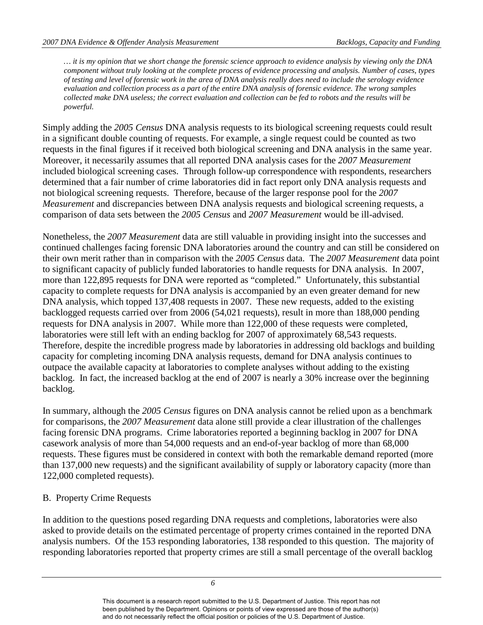*… it is my opinion that we short change the forensic science approach to evidence analysis by viewing only the DNA component without truly looking at the complete process of evidence processing and analysis. Number of cases, types of testing and level of forensic work in the area of DNA analysis really does need to include the serology evidence evaluation and collection process as a part of the entire DNA analysis of forensic evidence. The wrong samples collected make DNA useless; the correct evaluation and collection can be fed to robots and the results will be powerful.* 

requests in the final figures if it received both biological screening and DNA analysis in the same year. Simply adding the *2005 Census* DNA analysis requests to its biological screening requests could result in a significant double counting of requests. For example, a single request could be counted as two Moreover, it necessarily assumes that all reported DNA analysis cases for the 2007 Measurement included biological screening cases. Through follow-up correspondence with respondents, researchers determined that a fair number of crime laboratories did in fact report only DNA analysis requests and not biological screening requests. Therefore, because of the larger response pool for the *2007 Measurement* and discrepancies between DNA analysis requests and biological screening requests, a comparison of data sets between the *2005 Census* and *2007 Measurement* would be ill-advised.

 continued challenges facing forensic DNA laboratories around the country and can still be considered on Nonetheless, the *2007 Measurement* data are still valuable in providing insight into the successes and their own merit rather than in comparison with the *2005 Census* data. The *2007 Measurement* data point to significant capacity of publicly funded laboratories to handle requests for DNA analysis. In 2007, more than 122,895 requests for DNA were reported as "completed." Unfortunately, this substantial capacity to complete requests for DNA analysis is accompanied by an even greater demand for new DNA analysis, which topped 137,408 requests in 2007. These new requests, added to the existing backlogged requests carried over from 2006 (54,021 requests), result in more than 188,000 pending requests for DNA analysis in 2007. While more than 122,000 of these requests were completed, laboratories were still left with an ending backlog for 2007 of approximately 68,543 requests. Therefore, despite the incredible progress made by laboratories in addressing old backlogs and building capacity for completing incoming DNA analysis requests, demand for DNA analysis continues to outpace the available capacity at laboratories to complete analyses without adding to the existing backlog. In fact, the increased backlog at the end of 2007 is nearly a 30% increase over the beginning backlog.

In summary, although the *2005 Census* figures on DNA analysis cannot be relied upon as a benchmark for comparisons, the *2007 Measurement* data alone still provide a clear illustration of the challenges facing forensic DNA programs. Crime laboratories reported a beginning backlog in 2007 for DNA casework analysis of more than 54,000 requests and an end-of-year backlog of more than 68,000 requests. These figures must be considered in context with both the remarkable demand reported (more than 137,000 new requests) and the significant availability of supply or laboratory capacity (more than 122,000 completed requests).

## <span id="page-10-0"></span>B. Property Crime Requests

 In addition to the questions posed regarding DNA requests and completions, laboratories were also analysis numbers. Of the 153 responding laboratories, 138 responded to this question. The majority of asked to provide details on the estimated percentage of property crimes contained in the reported DNA responding laboratories reported that property crimes are still a small percentage of the overall backlog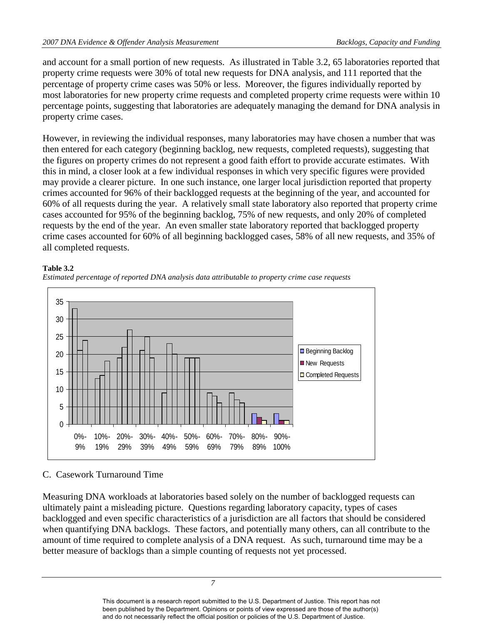percentage of property crime cases was 50% or less. Moreover, the figures individually reported by percentage points, suggesting that laboratories are adequately managing the demand for DNA analysis in and account for a small portion of new requests. As illustrated in Table 3.2, 65 laboratories reported that property crime requests were 30% of total new requests for DNA analysis, and 111 reported that the most laboratories for new property crime requests and completed property crime requests were within 10 property crime cases.

 the figures on property crimes do not represent a good faith effort to provide accurate estimates. With may provide a clearer picture. In one such instance, one larger local jurisdiction reported that property 60% of all requests during the year. A relatively small state laboratory also reported that property crime cases accounted for 95% of the beginning backlog, 75% of new requests, and only 20% of completed all completed requests. However, in reviewing the individual responses, many laboratories may have chosen a number that was then entered for each category (beginning backlog, new requests, completed requests), suggesting that this in mind, a closer look at a few individual responses in which very specific figures were provided crimes accounted for 96% of their backlogged requests at the beginning of the year, and accounted for requests by the end of the year. An even smaller state laboratory reported that backlogged property crime cases accounted for 60% of all beginning backlogged cases, 58% of all new requests, and 35% of

#### **Table 3.2**





## <span id="page-11-0"></span>C. Casework Turnaround Time

 ultimately paint a misleading picture. Questions regarding laboratory capacity, types of cases Measuring DNA workloads at laboratories based solely on the number of backlogged requests can backlogged and even specific characteristics of a jurisdiction are all factors that should be considered when quantifying DNA backlogs. These factors, and potentially many others, can all contribute to the amount of time required to complete analysis of a DNA request. As such, turnaround time may be a better measure of backlogs than a simple counting of requests not yet processed.

and do not necessarily reflect the official position or policies of the U.S. Department of Justice.

*7*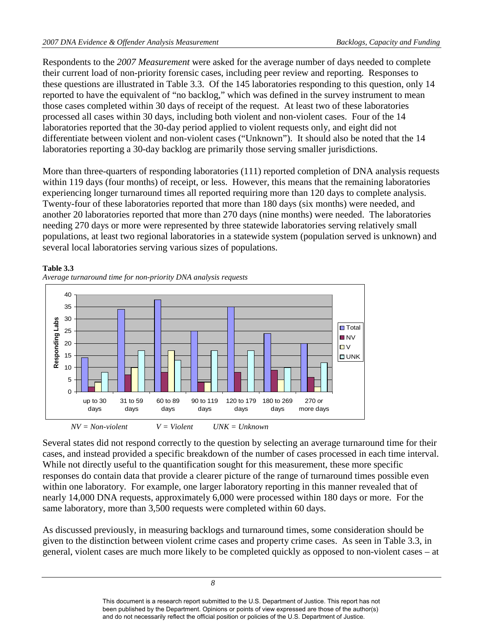Respondents to the *2007 Measurement* were asked for the average number of days needed to complete their current load of non-priority forensic cases, including peer review and reporting. Responses to these questions are illustrated in Table 3.3. Of the 145 laboratories responding to this question, only 14 reported to have the equivalent of "no backlog," which was defined in the survey instrument to mean those cases completed within 30 days of receipt of the request. At least two of these laboratories processed all cases within 30 days, including both violent and non-violent cases. Four of the 14 laboratories reported that the 30-day period applied to violent requests only, and eight did not differentiate between violent and non-violent cases ("Unknown"). It should also be noted that the 14 laboratories reporting a 30-day backlog are primarily those serving smaller jurisdictions.

 needing 270 days or more were represented by three statewide laboratories serving relatively small More than three-quarters of responding laboratories (111) reported completion of DNA analysis requests within 119 days (four months) of receipt, or less. However, this means that the remaining laboratories experiencing longer turnaround times all reported requiring more than 120 days to complete analysis. Twenty-four of these laboratories reported that more than 180 days (six months) were needed, and another 20 laboratories reported that more than 270 days (nine months) were needed. The laboratories populations, at least two regional laboratories in a statewide system (population served is unknown) and several local laboratories serving various sizes of populations.



## **Table 3.3**

Several states did not respond correctly to the question by selecting an average turnaround time for their cases, and instead provided a specific breakdown of the number of cases processed in each time interval. While not directly useful to the quantification sought for this measurement, these more specific responses do contain data that provide a clearer picture of the range of turnaround times possible even within one laboratory. For example, one larger laboratory reporting in this manner revealed that of nearly 14,000 DNA requests, approximately 6,000 were processed within 180 days or more. For the same laboratory, more than 3,500 requests were completed within 60 days.

As discussed previously, in measuring backlogs and turnaround times, some consideration should be given to the distinction between violent crime cases and property crime cases. As seen in Table 3.3, in general, violent cases are much more likely to be completed quickly as opposed to non-violent cases – at

*<sup>8</sup>*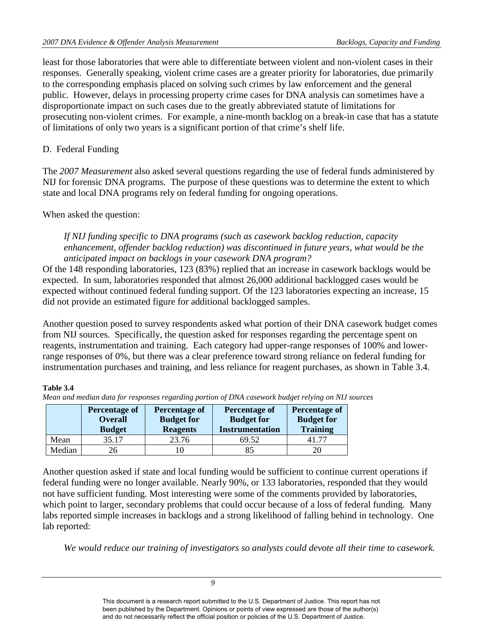prosecuting non-violent crimes. For example, a nine-month backlog on a break-in case that has a statute of limitations of only two years is a significant portion of that crime's shelf life. least for those laboratories that were able to differentiate between violent and non-violent cases in their responses. Generally speaking, violent crime cases are a greater priority for laboratories, due primarily to the corresponding emphasis placed on solving such crimes by law enforcement and the general public. However, delays in processing property crime cases for DNA analysis can sometimes have a disproportionate impact on such cases due to the greatly abbreviated statute of limitations for

## <span id="page-13-0"></span>D. Federal Funding

The *2007 Measurement* also asked several questions regarding the use of federal funds administered by NIJ for forensic DNA programs. The purpose of these questions was to determine the extent to which state and local DNA programs rely on federal funding for ongoing operations.

## When asked the question:

*If NIJ funding specific to DNA programs (such as casework backlog reduction, capacity enhancement, offender backlog reduction) was discontinued in future years, what would be the anticipated impact on backlogs in your casework DNA program?* 

Of the 148 responding laboratories, 123 (83%) replied that an increase in casework backlogs would be expected. In sum, laboratories responded that almost 26,000 additional backlogged cases would be expected without continued federal funding support. Of the 123 laboratories expecting an increase, 15 did not provide an estimated figure for additional backlogged samples.

 from NIJ sources. Specifically, the question asked for responses regarding the percentage spent on range responses of 0%, but there was a clear preference toward strong reliance on federal funding for Another question posed to survey respondents asked what portion of their DNA casework budget comes reagents, instrumentation and training. Each category had upper-range responses of 100% and lowerinstrumentation purchases and training, and less reliance for reagent purchases, as shown in Table 3.4.

#### **Table 3.4**

|        | <b>Percentage of</b><br><b>Overall</b><br><b>Budget</b> | <b>Percentage of</b><br><b>Budget for</b><br><b>Reagents</b> | <b>Percentage of</b><br><b>Budget for</b><br><b>Instrumentation</b> | <b>Percentage of</b><br><b>Budget for</b><br><b>Training</b> |
|--------|---------------------------------------------------------|--------------------------------------------------------------|---------------------------------------------------------------------|--------------------------------------------------------------|
| Mean   | 35.17                                                   | 23.76                                                        | 69.52                                                               | -77                                                          |
| Median |                                                         |                                                              | 85                                                                  |                                                              |

*Mean and median data for responses regarding portion of DNA casework budget relying on NIJ sources* 

 lab reported: Another question asked if state and local funding would be sufficient to continue current operations if federal funding were no longer available. Nearly 90%, or 133 laboratories, responded that they would not have sufficient funding. Most interesting were some of the comments provided by laboratories, which point to larger, secondary problems that could occur because of a loss of federal funding. Many labs reported simple increases in backlogs and a strong likelihood of falling behind in technology. One

*We would reduce our training of investigators so analysts could devote all their time to casework.* 

*9*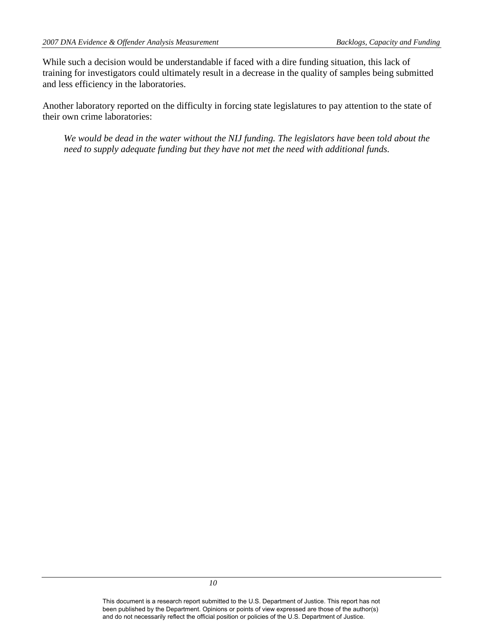While such a decision would be understandable if faced with a dire funding situation, this lack of training for investigators could ultimately result in a decrease in the quality of samples being submitted and less efficiency in the laboratories.

 Another laboratory reported on the difficulty in forcing state legislatures to pay attention to the state of their own crime laboratories:

*We would be dead in the water without the NIJ funding. The legislators have been told about the need to supply adequate funding but they have not met the need with additional funds.*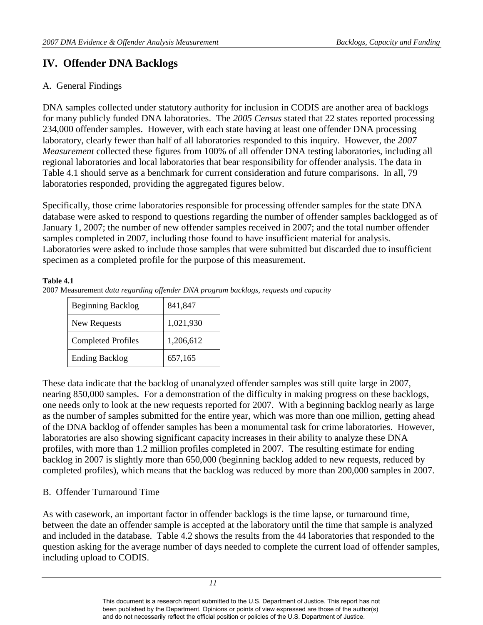## <span id="page-15-0"></span> **IV. Offender DNA Backlogs**

## <span id="page-15-1"></span>A. General Findings

 *Measurement* collected these figures from 100% of all offender DNA testing laboratories, including all regional laboratories and local laboratories that bear responsibility for offender analysis. The data in DNA samples collected under statutory authority for inclusion in CODIS are another area of backlogs for many publicly funded DNA laboratories. The *2005 Census* stated that 22 states reported processing 234,000 offender samples. However, with each state having at least one offender DNA processing laboratory, clearly fewer than half of all laboratories responded to this inquiry. However, the *2007*  Table 4.1 should serve as a benchmark for current consideration and future comparisons. In all, 79 laboratories responded, providing the aggregated figures below.

Specifically, those crime laboratories responsible for processing offender samples for the state DNA database were asked to respond to questions regarding the number of offender samples backlogged as of January 1, 2007; the number of new offender samples received in 2007; and the total number offender samples completed in 2007, including those found to have insufficient material for analysis. Laboratories were asked to include those samples that were submitted but discarded due to insufficient specimen as a completed profile for the purpose of this measurement.

#### **Table 4.1**

 2007 Measurement *data regarding offender DNA program backlogs, requests and capacity* 

| <b>Beginning Backlog</b>  | 841,847   |
|---------------------------|-----------|
| New Requests              | 1,021,930 |
| <b>Completed Profiles</b> | 1,206,612 |
| <b>Ending Backlog</b>     | 657,165   |

 one needs only to look at the new requests reported for 2007. With a beginning backlog nearly as large These data indicate that the backlog of unanalyzed offender samples was still quite large in 2007, nearing 850,000 samples. For a demonstration of the difficulty in making progress on these backlogs, as the number of samples submitted for the entire year, which was more than one million, getting ahead of the DNA backlog of offender samples has been a monumental task for crime laboratories. However, laboratories are also showing significant capacity increases in their ability to analyze these DNA profiles, with more than 1.2 million profiles completed in 2007. The resulting estimate for ending backlog in 2007 is slightly more than 650,000 (beginning backlog added to new requests, reduced by completed profiles), which means that the backlog was reduced by more than 200,000 samples in 2007.

## <span id="page-15-2"></span>B. Offender Turnaround Time

 As with casework, an important factor in offender backlogs is the time lapse, or turnaround time, between the date an offender sample is accepted at the laboratory until the time that sample is analyzed and included in the database. Table 4.2 shows the results from the 44 laboratories that responded to the question asking for the average number of days needed to complete the current load of offender samples, including upload to CODIS.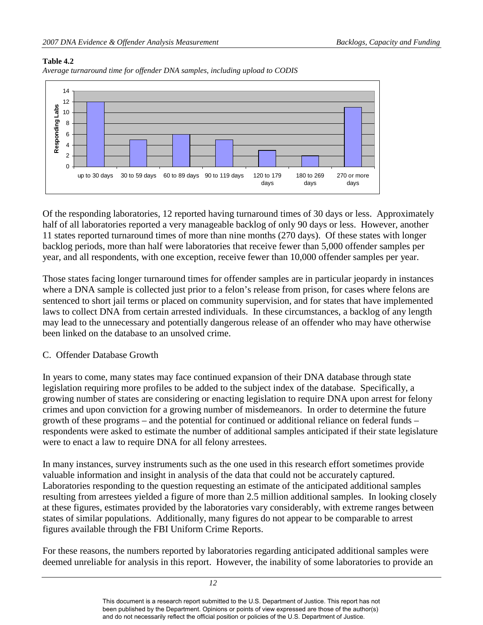#### **Table 4.2**





 backlog periods, more than half were laboratories that receive fewer than 5,000 offender samples per year, and all respondents, with one exception, receive fewer than 10,000 offender samples per year. Of the responding laboratories, 12 reported having turnaround times of 30 days or less. Approximately half of all laboratories reported a very manageable backlog of only 90 days or less. However, another 11 states reported turnaround times of more than nine months (270 days). Of these states with longer

 laws to collect DNA from certain arrested individuals. In these circumstances, a backlog of any length Those states facing longer turnaround times for offender samples are in particular jeopardy in instances where a DNA sample is collected just prior to a felon's release from prison, for cases where felons are sentenced to short jail terms or placed on community supervision, and for states that have implemented may lead to the unnecessary and potentially dangerous release of an offender who may have otherwise been linked on the database to an unsolved crime.

## <span id="page-16-0"></span>C. Offender Database Growth

 growing number of states are considering or enacting legislation to require DNA upon arrest for felony In years to come, many states may face continued expansion of their DNA database through state legislation requiring more profiles to be added to the subject index of the database. Specifically, a crimes and upon conviction for a growing number of misdemeanors. In order to determine the future growth of these programs – and the potential for continued or additional reliance on federal funds – respondents were asked to estimate the number of additional samples anticipated if their state legislature were to enact a law to require DNA for all felony arrestees.

valuable information and insight in analysis of the data that could not be accurately captured. valuable information and insight in analysis of the data that could not be accurately captured. Laboratories responding to the question requesting an estimate of the anticipated additional samples at these figures, estimates provided by the laboratories vary considerably, with extreme ranges between states of similar populations. Additionally, many figures do not appear to be comparable to arrest In many instances, survey instruments such as the one used in this research effort sometimes provide resulting from arrestees yielded a figure of more than 2.5 million additional samples. In looking closely figures available through the FBI Uniform Crime Reports.

For these reasons, the numbers reported by laboratories regarding anticipated additional samples were deemed unreliable for analysis in this report. However, the inability of some laboratories to provide an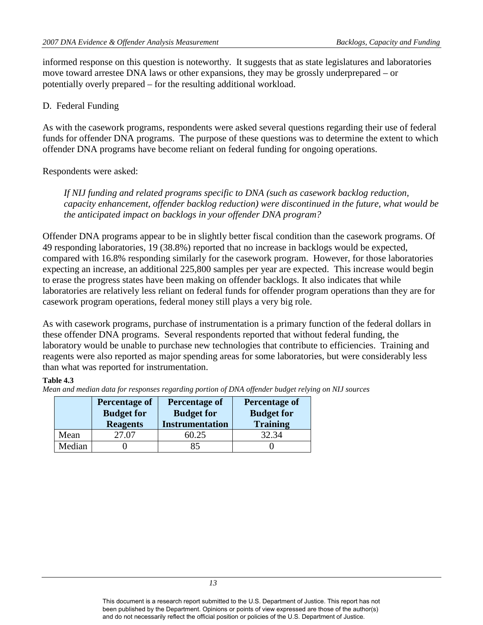informed response on this question is noteworthy. It suggests that as state legislatures and laboratories move toward arrestee DNA laws or other expansions, they may be grossly underprepared – or potentially overly prepared – for the resulting additional workload.

#### <span id="page-17-0"></span>D. Federal Funding

As with the casework programs, respondents were asked several questions regarding their use of federal funds for offender DNA programs. The purpose of these questions was to determine the extent to which offender DNA programs have become reliant on federal funding for ongoing operations.

## Respondents were asked:

*If NIJ funding and related programs specific to DNA (such as casework backlog reduction, capacity enhancement, offender backlog reduction) were discontinued in the future, what would be the anticipated impact on backlogs in your offender DNA program?* 

 compared with 16.8% responding similarly for the casework program. However, for those laboratories expecting an increase, an additional 225,800 samples per year are expected. This increase would begin laboratories are relatively less reliant on federal funds for offender program operations than they are for Offender DNA programs appear to be in slightly better fiscal condition than the casework programs. Of 49 responding laboratories, 19 (38.8%) reported that no increase in backlogs would be expected, to erase the progress states have been making on offender backlogs. It also indicates that while casework program operations, federal money still plays a very big role.

As with casework programs, purchase of instrumentation is a primary function of the federal dollars in these offender DNA programs. Several respondents reported that without federal funding, the laboratory would be unable to purchase new technologies that contribute to efficiencies. Training and reagents were also reported as major spending areas for some laboratories, but were considerably less than what was reported for instrumentation.

#### **Table 4.3**

*Mean and median data for responses regarding portion of DNA offender budget relying on NIJ sources* 

|        | <b>Percentage of</b><br><b>Budget for</b><br><b>Reagents</b> | <b>Percentage of</b><br><b>Budget for</b><br><b>Instrumentation</b> | Percentage of<br><b>Budget for</b><br><b>Training</b> |
|--------|--------------------------------------------------------------|---------------------------------------------------------------------|-------------------------------------------------------|
| Mean   | 27.07                                                        | 50.25                                                               | 32.34                                                 |
| Median |                                                              |                                                                     |                                                       |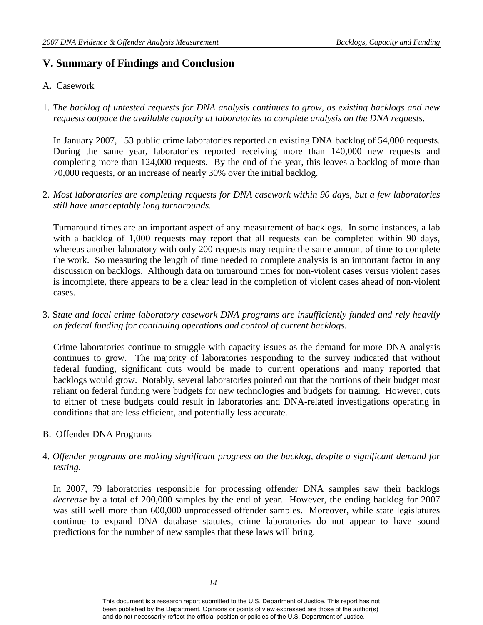## <span id="page-18-0"></span>**V. Summary of Findings and Conclusion**

## <span id="page-18-1"></span>A. Casework

1. *The backlog of untested requests for DNA analysis continues to grow, as existing backlogs and new requests outpace the available capacity at laboratories to complete analysis on the DNA requests*.

In January 2007, 153 public crime laboratories reported an existing DNA backlog of 54,000 requests. During the same year, laboratories reported receiving more than 140,000 new requests and completing more than 124,000 requests. By the end of the year, this leaves a backlog of more than 70,000 requests, or an increase of nearly 30% over the initial backlog.

2. *Most laboratories are completing requests for DNA casework within 90 days, but a few laboratories still have unacceptably long turnarounds.* 

Turnaround times are an important aspect of any measurement of backlogs. In some instances, a lab with a backlog of 1,000 requests may report that all requests can be completed within 90 days, whereas another laboratory with only 200 requests may require the same amount of time to complete the work. So measuring the length of time needed to complete analysis is an important factor in any discussion on backlogs. Although data on turnaround times for non-violent cases versus violent cases is incomplete, there appears to be a clear lead in the completion of violent cases ahead of non-violent cases.

3. S*tate and local crime laboratory casework DNA programs are insufficiently funded and rely heavily on federal funding for continuing operations and control of current backlogs.* 

Crime laboratories continue to struggle with capacity issues as the demand for more DNA analysis continues to grow. The majority of laboratories responding to the survey indicated that without federal funding, significant cuts would be made to current operations and many reported that backlogs would grow. Notably, several laboratories pointed out that the portions of their budget most reliant on federal funding were budgets for new technologies and budgets for training. However, cuts to either of these budgets could result in laboratories and DNA-related investigations operating in conditions that are less efficient, and potentially less accurate.

- <span id="page-18-2"></span>B. Offender DNA Programs
- 4. *Offender programs are making significant progress on the backlog, despite a significant demand for testing.*

 predictions for the number of new samples that these laws will bring. In 2007, 79 laboratories responsible for processing offender DNA samples saw their backlogs *decrease* by a total of 200,000 samples by the end of year. However, the ending backlog for 2007 was still well more than 600,000 unprocessed offender samples. Moreover, while state legislatures continue to expand DNA database statutes, crime laboratories do not appear to have sound

This document is a research report submitted to the U.S. Department of Justice. This report has not been published by the Department. Opinions or points of view expressed are those of the author(s) and do not necessarily reflect the official position or policies of the U.S. Department of Justice.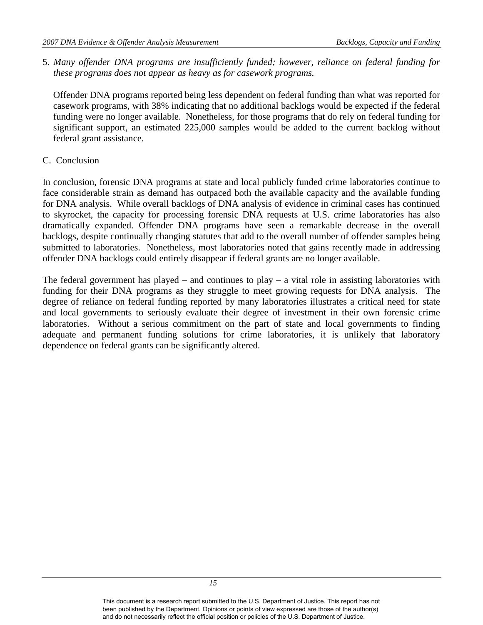*these programs does not appear as heavy as for casework programs.*  5. *Many offender DNA programs are insufficiently funded; however, reliance on federal funding for* 

 Offender DNA programs reported being less dependent on federal funding than what was reported for casework programs, with 38% indicating that no additional backlogs would be expected if the federal funding were no longer available. Nonetheless, for those programs that do rely on federal funding for significant support, an estimated 225,000 samples would be added to the current backlog without federal grant assistance.

#### <span id="page-19-0"></span>C. Conclusion

 for DNA analysis. While overall backlogs of DNA analysis of evidence in criminal cases has continued In conclusion, forensic DNA programs at state and local publicly funded crime laboratories continue to face considerable strain as demand has outpaced both the available capacity and the available funding to skyrocket, the capacity for processing forensic DNA requests at U.S. crime laboratories has also dramatically expanded. Offender DNA programs have seen a remarkable decrease in the overall backlogs, despite continually changing statutes that add to the overall number of offender samples being submitted to laboratories. Nonetheless, most laboratories noted that gains recently made in addressing offender DNA backlogs could entirely disappear if federal grants are no longer available.

 The federal government has played – and continues to play – a vital role in assisting laboratories with dependence on federal grants can be significantly altered. funding for their DNA programs as they struggle to meet growing requests for DNA analysis. The degree of reliance on federal funding reported by many laboratories illustrates a critical need for state and local governments to seriously evaluate their degree of investment in their own forensic crime laboratories. Without a serious commitment on the part of state and local governments to finding adequate and permanent funding solutions for crime laboratories, it is unlikely that laboratory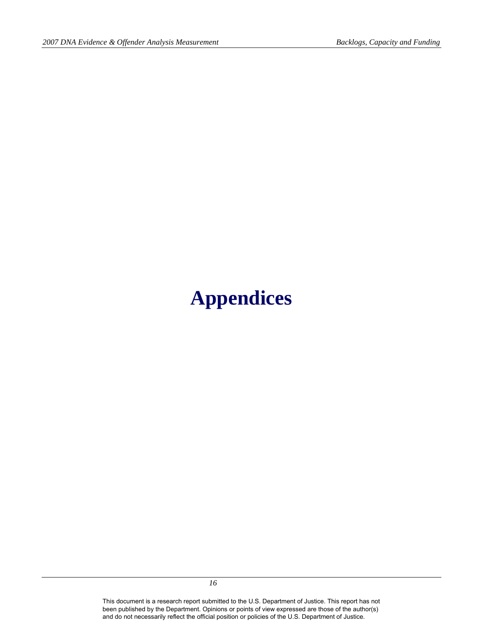# <span id="page-20-0"></span>**Appendices**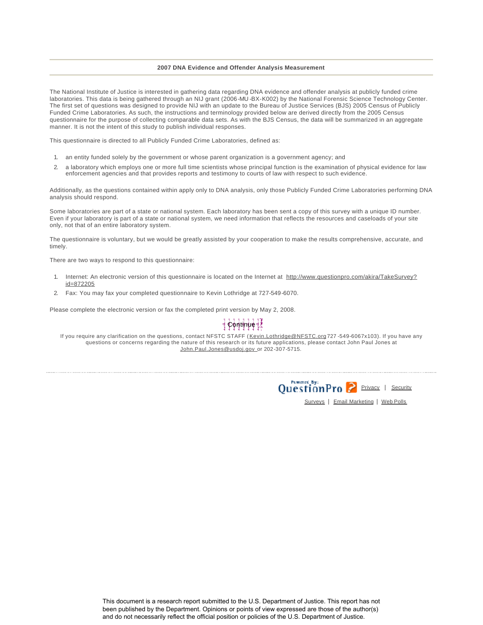#### **2007 DNA Evidence and Offender Analysis Measurement**

The National Institute of Justice is interested in gathering data regarding DNA evidence and offender analysis at publicly funded crime laboratories. This data is being gathered through an NIJ grant (2006-MU -BX-K002) by the National Forensic Science Technology Center. The first set of questions was designed to provide NIJ with an update to the Bureau of Justice Services (BJS) 2005 Census of Publicly Funded Crime Laboratories. As such, the instructions and terminology provided below are derived directly from the 2005 Census questionnaire for the purpose of collecting comparable data sets. As with the BJS Census, the data will be summarized in an aggregate manner. It is not the intent of this study to publish individual responses.

This questionnaire is directed to all Publicly Funded Crime Laboratories, defined as:

- 1. an entity funded solely by the government or whose parent organization is a government agency; and
- 2. a laboratory which employs one or more full time scientists whose principal function is the examination of physical evidence for law enforcement agencies and that provides reports and testimony to courts of law with respect to such evidence.

Additionally, as the questions contained within apply only to DNA analysis, only those Publicly Funded Crime Laboratories performing DNA analysis should respond.

Some laboratories are part of a state or national system. Each laboratory has been sent a copy of this survey with a unique ID number. Even if your laboratory is part of a state or national system, we need information that reflects the resources and caseloads of your site only, not that of an entire laboratory system.

The questionnaire is voluntary, but we would be greatly assisted by your cooperation to make the results comprehensive, accurate, and timely.

There are two ways to respond to this questionnaire:

- 1. Internet: An electronic version of this questionnaire is located on the Internet at http://www.questionpro.com/akira/TakeSurvey? id=872205
- 2. Fax: You may fax your completed questionnaire to Kevin Lothridge at 727-549-6070.

Please complete the electronic version or fax the completed print version by May 2, 2008.

## ֈ֎֍ՠֈՠֈՠֈ

If you require any clarification on the questions, contact NFSTC STAFF (Kevin.Lothridge@NFSTC.org 727 -549-6067x103). If you have any questions or concerns regarding the nature of this research or its future applications, please contact John Paul Jones at John.Paul.Jones@usdoj.gov\_or 202-307-5715.



Surveys | Email Marketing | Web Polls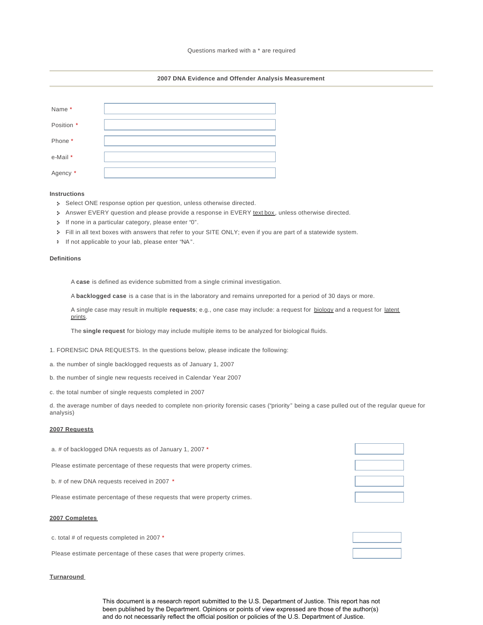#### **2007 DNA Evidence and Offender Analysis Measurement**

| Name*      |  |
|------------|--|
| Position * |  |
| Phone *    |  |
| e-Mail *   |  |
| Agency *   |  |

#### **Instructions**

- Select ONE response option per question, unless otherwise directed.
- Answer EVERY question and please provide a response in EVERY text box, unless otherwise directed.
- If none in a particular category, please enter "0".
- Fill in all text boxes with answers that refer to your SITE ONLY; even if you are part of a statewide system.
- If not applicable to your lab, please enter "NA".

#### **Definitions**

A **case** is defined as evidence submitted from a single criminal investigation.

A **backlogged case** is a case that is in the laboratory and remains unreported for a period of 30 days or more.

A single case may result in multiple **requests**; e.g., one case may include: a request for biology and a request for latent prints.

The **single request** for biology may include multiple items to be analyzed for biological fluids.

- 1. FORENSIC DNA REQUESTS. In the questions below, please indicate the following:
- a. the number of single backlogged requests as of January 1, 2007
- b. the number of single new requests received in Calendar Year 2007
- c. the total number of single requests completed in 2007

d. the average number of days needed to complete non-priority forensic cases ("priority" being a case pulled out of the regular queue for analysis)

#### **2007 Requests**

| a. # of backlogged DNA requests as of January 1, 2007 *                 |  |
|-------------------------------------------------------------------------|--|
| Please estimate percentage of these requests that were property crimes. |  |
| b. # of new DNA requests received in 2007 *                             |  |
| Please estimate percentage of these requests that were property crimes. |  |

#### **2007 Completes**

c. total # of requests completed in 2007 \* Please estimate percentage of these cases that were property crimes.

#### **Turnaround**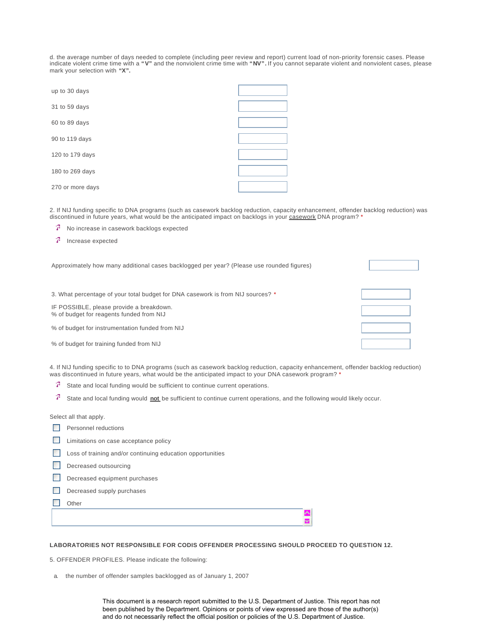d. the average number of days needed to complete (including peer review and report) current load of non-priority forensic cases. Please<br>indicate violent crime time with a "**V**" and the nonviolent crime time with "**NV**". If mark your selection with **"X".** 

| up to 30 days    |  |
|------------------|--|
| 31 to 59 days    |  |
| 60 to 89 days    |  |
| 90 to 119 days   |  |
| 120 to 179 days  |  |
| 180 to 269 days  |  |
| 270 or more days |  |

2. If NIJ funding specific to DNA programs (such as casework backlog reduction, capacity enhancement, offender backlog reduction) was discontinued in future years, what would be the anticipated impact on backlogs in your casework DNA program? \*

- No increase in casework backlogs expected
- Increase expected

| Approximately how many additional cases backlogged per year? (Please use rounded figures) |  |
|-------------------------------------------------------------------------------------------|--|
| 3. What percentage of your total budget for DNA casework is from NIJ sources? *           |  |
| IF POSSIBLE, please provide a breakdown.<br>% of budget for reagents funded from NIJ      |  |
| % of budget for instrumentation funded from NIJ                                           |  |
| % of budget for training funded from NIJ                                                  |  |

4. If NIJ funding specific to to DNA programs (such as casework backlog reduction, capacity enhancement, offender backlog reduction) was discontinued in future years, what would be the anticipated impact to your DNA casework program? \*

- 7. State and local funding would be sufficient to continue current operations.
- 7. State and local funding would **not** be sufficient to continue current operations, and the following would likely occur.

Select all that apply.

|  | Personnel reductions |
|--|----------------------|
|--|----------------------|

- Limitations on case acceptance policy
- Loss of training and/or continuing education opportunities

Decreased outsourcing

- Decreased equipment purchases
- Decreased supply purchases
- **Other**

#### **LABORATORIES NOT RESPONSIBLE FOR CODIS OFFENDER PROCESSING SHOULD PROCEED TO QUESTION 12.**

5. OFFENDER PROFILES. Please indicate the following:

a. the number of offender samples backlogged as of January 1, 2007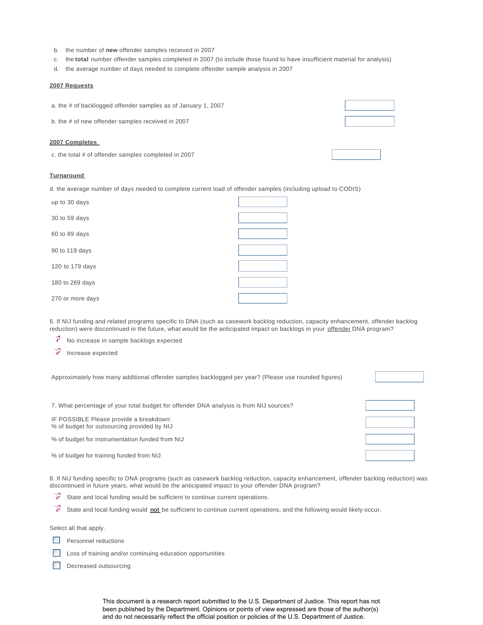- b. the number of **new** offender samples received in 2007
- c. the **total** number offender samples completed in 2007 (to include those found to have insufficient material for analysis)
- d. the average number of days needed to complete offender sample analysis in 2007

#### **2007 Requests**

a. the # of backlogged offender samples as of January 1, 2007

b. the # of new offender samples received in 2007

#### **2007 Completes**

c. the total # of offender samples completed in 2007

#### **Turnaround**

d. the average number of days needed to complete current load of offender samples (including upload to CODIS)

| up to 30 days    |  |
|------------------|--|
| 30 to 59 days    |  |
| 60 to 89 days    |  |
| 90 to 119 days   |  |
| 120 to 179 days  |  |
| 180 to 269 days  |  |
| 270 or more days |  |

6. If NIJ funding and related programs specific to DNA (such as casework backlog reduction, capacity enhancement, offender backlog reduction) were discontinued in the future, what would be the anticipated impact on backlogs in your offender DNA program?

7 No increase in sample backlogs expected

靀 Increase expected

Approximately how many additional offender samples backlogged per year? (Please use rounded figures)

7. What percentage of your total budget for offender DNA analysis is from NIJ sources?

IF POSSIBLE Please provide a breakdown:

% of budget for outsourcing provided by NIJ

% of budget for instrumentation funded from NIJ

% of budget for training funded from NIJ

8. If NIJ funding specific to DNA programs (such as casework backlog reduction, capacity enhancement, offender backlog reduction) was discontinued in future years, what would be the anticipated impact to your offender DNA program?

- State and local funding would be sufficient to continue current operations.
- 靀 State and local funding would **not** be sufficient to continue current operations, and the following would likely occur.

Select all that apply.

- Personnel reductions
- Loss of training and/or continuing education opportunities
- Decreased outsourcing

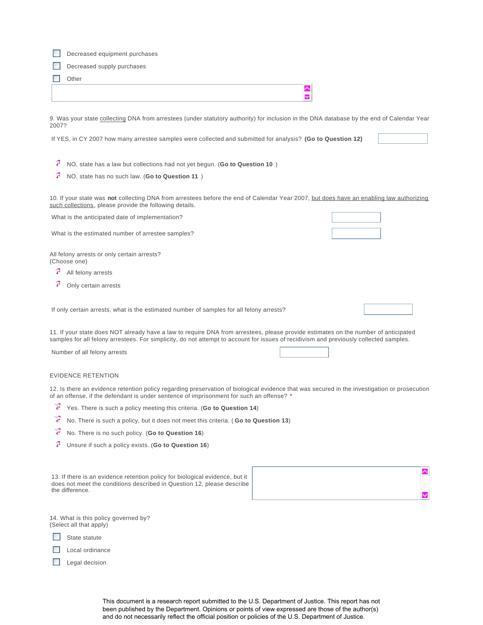| Decreased equipment purchases                                                                                                                                                                                                                                                |  |  |  |
|------------------------------------------------------------------------------------------------------------------------------------------------------------------------------------------------------------------------------------------------------------------------------|--|--|--|
| Decreased supply purchases                                                                                                                                                                                                                                                   |  |  |  |
| Other                                                                                                                                                                                                                                                                        |  |  |  |
| ◚<br>v                                                                                                                                                                                                                                                                       |  |  |  |
|                                                                                                                                                                                                                                                                              |  |  |  |
| 9. Was your state collecting DNA from arrestees (under statutory authority) for inclusion in the DNA database by the end of Calendar Year<br>2007?                                                                                                                           |  |  |  |
| If YES, in CY 2007 how many arrestee samples were collected and submitted for analysis? (Go to Question 12)                                                                                                                                                                  |  |  |  |
| 7<br>NO, state has a law but collections had not yet begun. (Go to Question 10)                                                                                                                                                                                              |  |  |  |
| 7<br>NO, state has no such law. (Go to Question 11)                                                                                                                                                                                                                          |  |  |  |
| 10. If your state was not collecting DNA from arrestees before the end of Calendar Year 2007, but does have an enabling law authorizing<br>such collections, please provide the following details.                                                                           |  |  |  |
| What is the anticipated date of implementation?                                                                                                                                                                                                                              |  |  |  |
| What is the estimated number of arrestee samples?                                                                                                                                                                                                                            |  |  |  |
| All felony arrests or only certain arrests?<br>(Choose one)                                                                                                                                                                                                                  |  |  |  |
| 7<br>All felony arrests                                                                                                                                                                                                                                                      |  |  |  |
| 7<br>Only certain arrests                                                                                                                                                                                                                                                    |  |  |  |
| If only certain arrests, what is the estimated number of samples for all felony arrests?                                                                                                                                                                                     |  |  |  |
| 11. If your state does NOT already have a law to require DNA from arrestees, please provide estimates on the number of anticipated<br>samples for all felony arrestees. For simplicity, do not attempt to account for issues of recidivism and previously collected samples. |  |  |  |
| Number of all felony arrests                                                                                                                                                                                                                                                 |  |  |  |
| <b>EVIDENCE RETENTION</b>                                                                                                                                                                                                                                                    |  |  |  |
| 12. Is there an evidence retention policy regarding preservation of biological evidence that was secured in the investigation or prosecution<br>of an offense, if the defendant is under sentence of imprisonment for such an offense? *                                     |  |  |  |
| Ŧ<br>Yes. There is such a policy meeting this criteria. (Go to Question 14)                                                                                                                                                                                                  |  |  |  |
| ¥<br>No. There is such a policy, but it does not meet this criteria. (Go to Question 13)                                                                                                                                                                                     |  |  |  |
| ¥<br>No. There is no such policy. (Go to Question 16)                                                                                                                                                                                                                        |  |  |  |
| 7<br>Unsure if such a policy exists. (Go to Question 16)                                                                                                                                                                                                                     |  |  |  |
|                                                                                                                                                                                                                                                                              |  |  |  |

13. If there is an evidence retention policy for biological evidence, but it does not meet the conditions described in Question 12, please describe the difference.



14. What is this policy governed by? (Select all that apply)

State statute

Local ordinance

Legal decision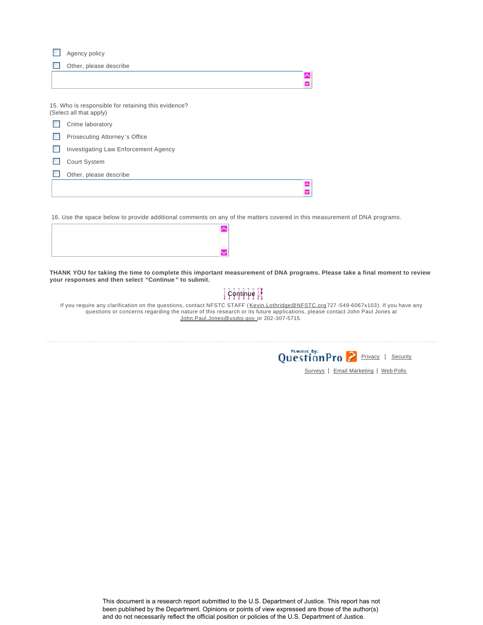Agency policy

 $\mathcal{L}_{\mathcal{A}}$ Other, please describe

| 15. Who is responsible for retaining this evidence?<br>(Select all that apply) |  |
|--------------------------------------------------------------------------------|--|
| Crime laboratory                                                               |  |
| Prosecuting Attorney's Office                                                  |  |
| <b>Investigating Law Enforcement Agency</b>                                    |  |
| <b>Court System</b>                                                            |  |
| Other, please describe                                                         |  |
|                                                                                |  |
|                                                                                |  |

16. Use the space below to provide additional comments on any of the matters covered in this measurement of DNA programs.



**THANK YOU for taking the time to complete this important measurement of DNA programs. Please take a final moment to review your responses and then select "Continue " to submit.** 

## $\frac{1}{2}$ ငှံရုံးမှုပုံစုံ $\frac{1}{2}$

If you require any clarification on the questions, contact NFSTC STAFF (Kevin.Lothridge@NFSTC.org 727 -549-6067x103). If you have any questions or concerns regarding the nature of this research or its future applications, please contact John Paul Jones at John.Paul.Jones@usdoj.gov\_or 202-307-5715.



Surveys | Email Marketing | Web Polls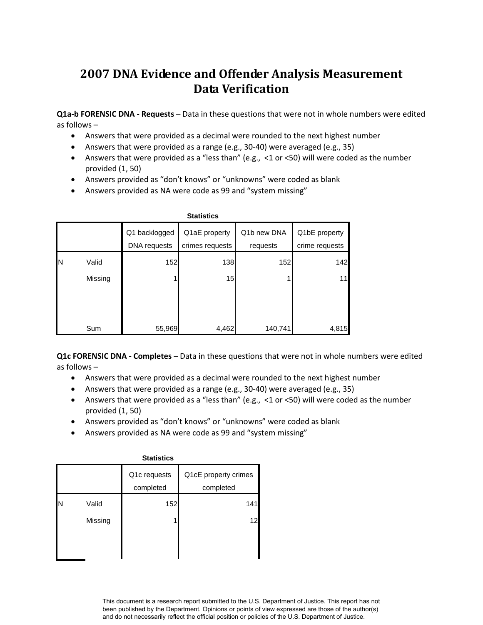# **2007 DNA Evidence and Offender Analysis Measurement Data Verification**

 **Q1a-b FORENSIC DNA - Requests** – Data in these questions that were not in whole numbers were edited as follows –

- Answers that were provided as a decimal were rounded to the next highest number
- Answers that were provided as a range (e.g., 30-40) were averaged (e.g., 35)
- Answers that were provided as a "less than" (e.g., <1 or <50) will were coded as the number provided (1, 50)
- Answers provided as "don't knows" or "unknowns" were coded as blank
- Answers provided as NA were code as 99 and "system missing"

|    | <b>Statistics</b> |               |                 |             |                |  |
|----|-------------------|---------------|-----------------|-------------|----------------|--|
|    |                   | Q1 backlogged | Q1aE property   | Q1b new DNA | Q1bE property  |  |
|    |                   | DNA requests  | crimes requests | requests    | crime requests |  |
| ΙN | Valid             | 152           | 138             | 152         | 142            |  |
|    | Missing           |               | 15              |             | 11             |  |
|    | Sum               | 55,969        | 4,462           | 140,741     | 4,815          |  |

 **Q1c FORENSIC DNA - Completes** – Data in these questions that were not in whole numbers were edited as follows –

- Answers that were provided as a decimal were rounded to the next highest number
- Answers that were provided as a range (e.g., 30-40) were averaged (e.g., 35)
- Answers that were provided as a "less than" (e.g., <1 or <50) will were coded as the number provided (1, 50)
- Answers provided as "don't knows" or "unknowns" were coded as blank
- Answers provided as NA were code as 99 and "system missing"

|   | <b>Statistics</b> |                           |                                   |  |  |
|---|-------------------|---------------------------|-----------------------------------|--|--|
|   |                   | Q1c requests<br>completed | Q1cE property crimes<br>completed |  |  |
| N | Valid             | 152                       | 141                               |  |  |
|   | Missing           |                           | 12                                |  |  |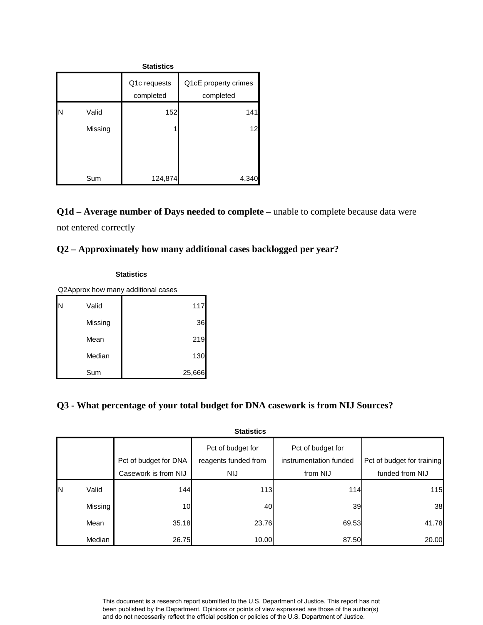| <b>Statistics</b> |         |                           |                                   |
|-------------------|---------|---------------------------|-----------------------------------|
|                   |         | Q1c requests<br>completed | Q1cE property crimes<br>completed |
| N                 | Valid   | 152                       | 141                               |
|                   | Missing |                           | 12                                |
|                   | Sum     | 124,874                   | 4,34                              |

**Q1d – Average number of Days needed to complete –** unable to complete because data were not entered correctly

## **Q2 – Approximately how many additional cases backlogged per year?**

| Statistics                         |         |        |  |
|------------------------------------|---------|--------|--|
| Q2Approx how many additional cases |         |        |  |
| N                                  | Valid   | 117    |  |
|                                    | Missing | 36     |  |
|                                    | Mean    | 219    |  |
|                                    | Median  | 130    |  |
|                                    | Sum     | 25,666 |  |

## **Q3 - What percentage of your total budget for DNA casework is from NIJ Sources?**

|    | <b>Statistics</b> |                       |                                           |                                             |                            |
|----|-------------------|-----------------------|-------------------------------------------|---------------------------------------------|----------------------------|
|    |                   | Pct of budget for DNA | Pct of budget for<br>reagents funded from | Pct of budget for<br>instrumentation funded | Pct of budget for training |
|    |                   | Casework is from NIJ  | NIJ                                       | from NIJ                                    | funded from NIJ            |
| ΙN | Valid             | 144                   | 113                                       | <b>114</b>                                  | 115                        |
|    | Missing           | 10 <sup>1</sup>       | 40                                        | 39                                          | 38                         |
|    | Mean              | 35.18                 | 23.76                                     | 69.53                                       | 41.78                      |
|    | Median            | 26.75                 | 10.00                                     | 87.50                                       | 20.00                      |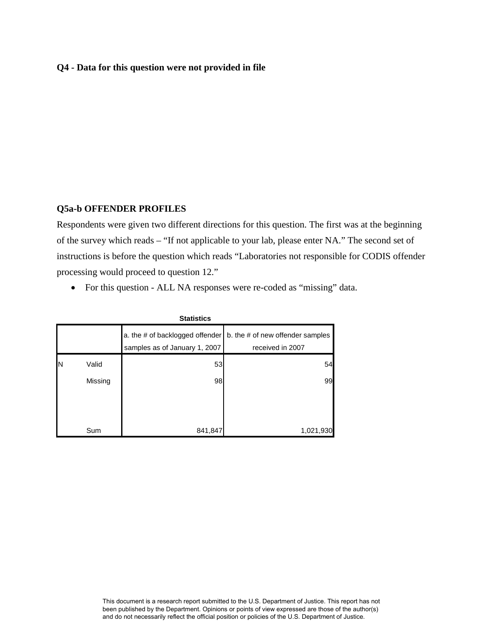#### **Q4 - Data for this question were not provided in file**

#### **Q5a-b OFFENDER PROFILES**

 processing would proceed to question 12." Respondents were given two different directions for this question. The first was at the beginning of the survey which reads – "If not applicable to your lab, please enter NA." The second set of instructions is before the question which reads "Laboratories not responsible for CODIS offender

• For this question - ALL NA responses were re-coded as "missing" data.

| olalistics |         |                                                                  |                                                      |
|------------|---------|------------------------------------------------------------------|------------------------------------------------------|
|            |         | a. the # of backlogged offender<br>samples as of January 1, 2007 | b. the # of new offender samples<br>received in 2007 |
| ΙN         | Valid   | 53                                                               | 54                                                   |
|            | Missing | 98                                                               | 99                                                   |
|            |         |                                                                  |                                                      |
|            | Sum     | 841,847                                                          | 1,021,930                                            |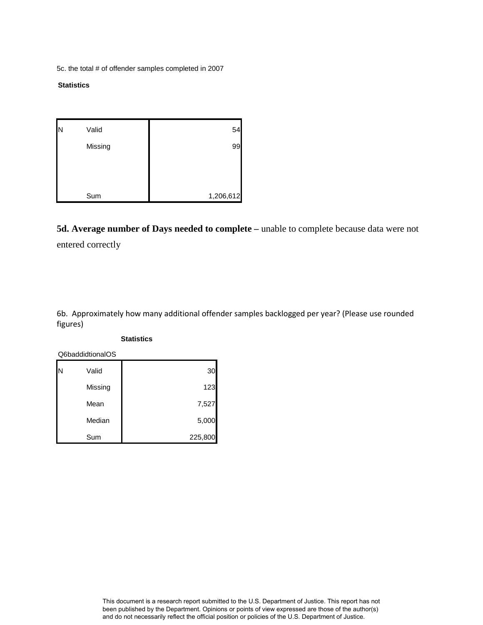5c. the total # of offender samples completed in 2007

#### **Statistics**

| N | Valid   | 54        |
|---|---------|-----------|
|   | Missing | 99        |
|   |         |           |
|   |         |           |
|   | Sum     | 1,206,612 |

**5d. Average number of Days needed to complete –** unable to complete because data were not entered correctly

6b. Approximately how many additional offender samples backlogged per year? (Please use rounded figures)

#### **Statistics**

Q6baddidtionalOS

| Ν | Valid   | 30      |
|---|---------|---------|
|   | Missing | 123     |
|   | Mean    | 7,527   |
|   | Median  | 5,000   |
|   | Sum     | 225,800 |